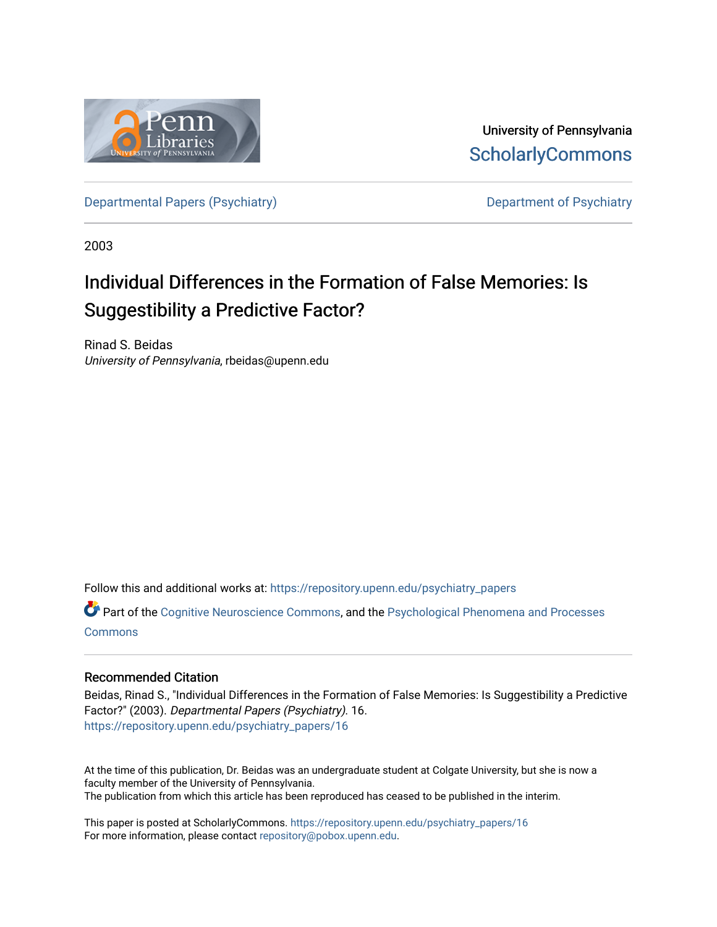

University of Pennsylvania **ScholarlyCommons** 

[Departmental Papers \(Psychiatry\)](https://repository.upenn.edu/psychiatry_papers) Department of Psychiatry

2003

# Individual Differences in the Formation of False Memories: Is Suggestibility a Predictive Factor?

Rinad S. Beidas University of Pennsylvania, rbeidas@upenn.edu

Follow this and additional works at: [https://repository.upenn.edu/psychiatry\\_papers](https://repository.upenn.edu/psychiatry_papers?utm_source=repository.upenn.edu%2Fpsychiatry_papers%2F16&utm_medium=PDF&utm_campaign=PDFCoverPages)

Part of the [Cognitive Neuroscience Commons,](http://network.bepress.com/hgg/discipline/57?utm_source=repository.upenn.edu%2Fpsychiatry_papers%2F16&utm_medium=PDF&utm_campaign=PDFCoverPages) and the [Psychological Phenomena and Processes](http://network.bepress.com/hgg/discipline/914?utm_source=repository.upenn.edu%2Fpsychiatry_papers%2F16&utm_medium=PDF&utm_campaign=PDFCoverPages)  **[Commons](http://network.bepress.com/hgg/discipline/914?utm_source=repository.upenn.edu%2Fpsychiatry_papers%2F16&utm_medium=PDF&utm_campaign=PDFCoverPages)** 

#### Recommended Citation

Beidas, Rinad S., "Individual Differences in the Formation of False Memories: Is Suggestibility a Predictive Factor?" (2003). Departmental Papers (Psychiatry). 16. [https://repository.upenn.edu/psychiatry\\_papers/16](https://repository.upenn.edu/psychiatry_papers/16?utm_source=repository.upenn.edu%2Fpsychiatry_papers%2F16&utm_medium=PDF&utm_campaign=PDFCoverPages) 

At the time of this publication, Dr. Beidas was an undergraduate student at Colgate University, but she is now a faculty member of the University of Pennsylvania. The publication from which this article has been reproduced has ceased to be published in the interim.

This paper is posted at ScholarlyCommons. [https://repository.upenn.edu/psychiatry\\_papers/16](https://repository.upenn.edu/psychiatry_papers/16) For more information, please contact [repository@pobox.upenn.edu.](mailto:repository@pobox.upenn.edu)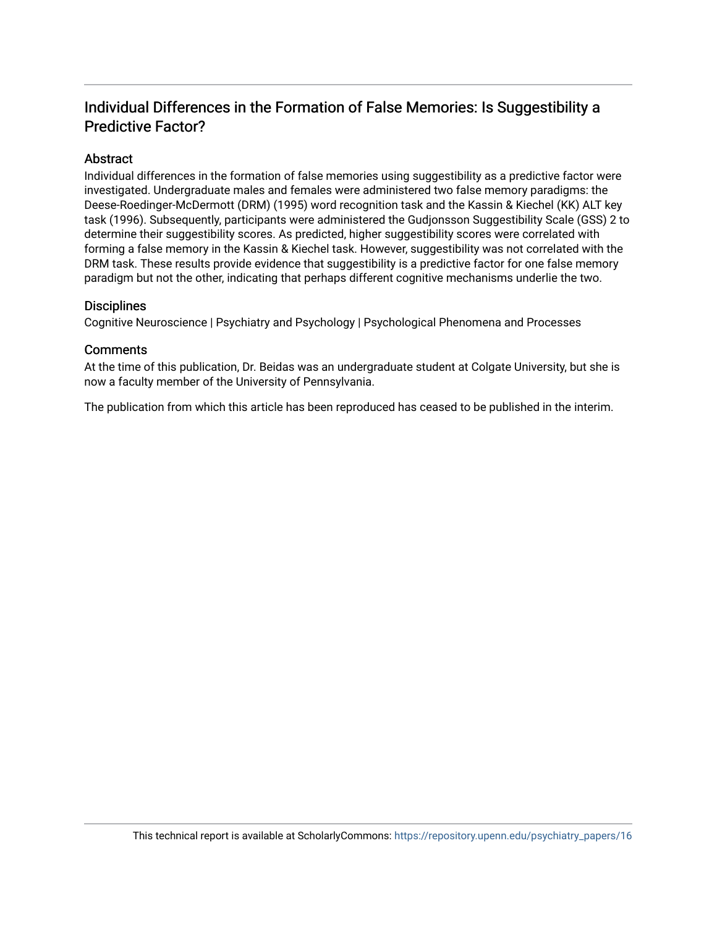# Individual Differences in the Formation of False Memories: Is Suggestibility a Predictive Factor?

#### **Abstract**

Individual differences in the formation of false memories using suggestibility as a predictive factor were investigated. Undergraduate males and females were administered two false memory paradigms: the Deese-Roedinger-McDermott (DRM) (1995) word recognition task and the Kassin & Kiechel (KK) ALT key task (1996). Subsequently, participants were administered the Gudjonsson Suggestibility Scale (GSS) 2 to determine their suggestibility scores. As predicted, higher suggestibility scores were correlated with forming a false memory in the Kassin & Kiechel task. However, suggestibility was not correlated with the DRM task. These results provide evidence that suggestibility is a predictive factor for one false memory paradigm but not the other, indicating that perhaps different cognitive mechanisms underlie the two.

#### **Disciplines**

Cognitive Neuroscience | Psychiatry and Psychology | Psychological Phenomena and Processes

#### **Comments**

At the time of this publication, Dr. Beidas was an undergraduate student at Colgate University, but she is now a faculty member of the University of Pennsylvania.

The publication from which this article has been reproduced has ceased to be published in the interim.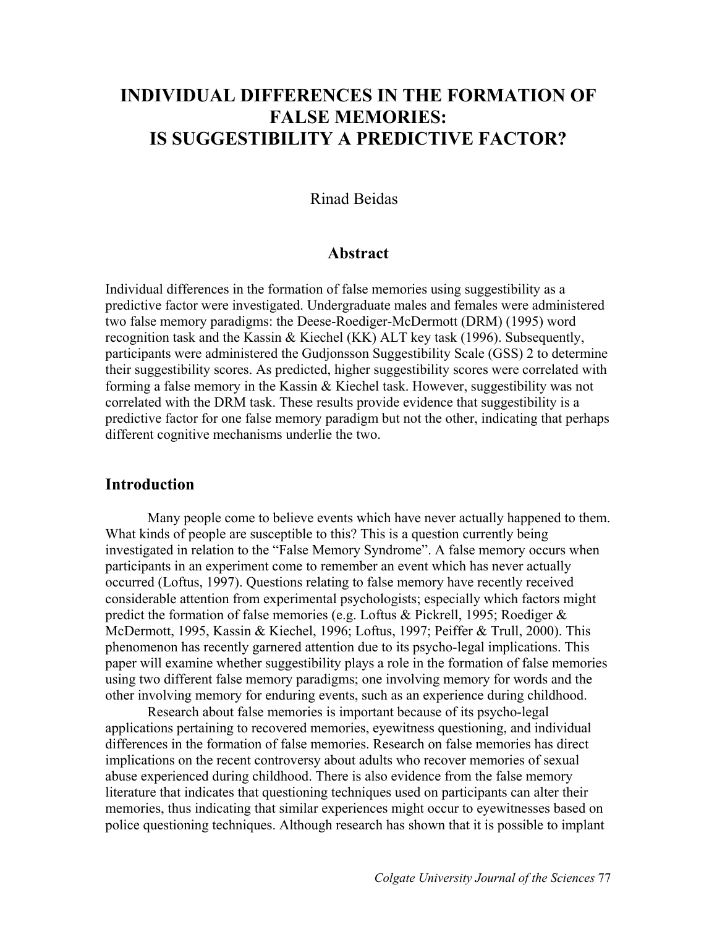# **INDIVIDUAL DIFFERENCES IN THE FORMATION OF FALSE MEMORIES: IS SUGGESTIBILITY A PREDICTIVE FACTOR?**

### Rinad Beidas

### **Abstract**

Individual differences in the formation of false memories using suggestibility as a predictive factor were investigated. Undergraduate males and females were administered two false memory paradigms: the Deese-Roediger-McDermott (DRM) (1995) word recognition task and the Kassin & Kiechel (KK) ALT key task (1996). Subsequently, participants were administered the Gudjonsson Suggestibility Scale (GSS) 2 to determine their suggestibility scores. As predicted, higher suggestibility scores were correlated with forming a false memory in the Kassin & Kiechel task. However, suggestibility was not correlated with the DRM task. These results provide evidence that suggestibility is a predictive factor for one false memory paradigm but not the other, indicating that perhaps different cognitive mechanisms underlie the two.

### **Introduction**

 Many people come to believe events which have never actually happened to them. What kinds of people are susceptible to this? This is a question currently being investigated in relation to the "False Memory Syndrome". A false memory occurs when participants in an experiment come to remember an event which has never actually occurred (Loftus, 1997). Questions relating to false memory have recently received considerable attention from experimental psychologists; especially which factors might predict the formation of false memories (e.g. Loftus & Pickrell, 1995; Roediger & McDermott, 1995, Kassin & Kiechel, 1996; Loftus, 1997; Peiffer & Trull, 2000). This phenomenon has recently garnered attention due to its psycho-legal implications. This paper will examine whether suggestibility plays a role in the formation of false memories using two different false memory paradigms; one involving memory for words and the other involving memory for enduring events, such as an experience during childhood.

 Research about false memories is important because of its psycho-legal applications pertaining to recovered memories, eyewitness questioning, and individual differences in the formation of false memories. Research on false memories has direct implications on the recent controversy about adults who recover memories of sexual abuse experienced during childhood. There is also evidence from the false memory literature that indicates that questioning techniques used on participants can alter their memories, thus indicating that similar experiences might occur to eyewitnesses based on police questioning techniques. Although research has shown that it is possible to implant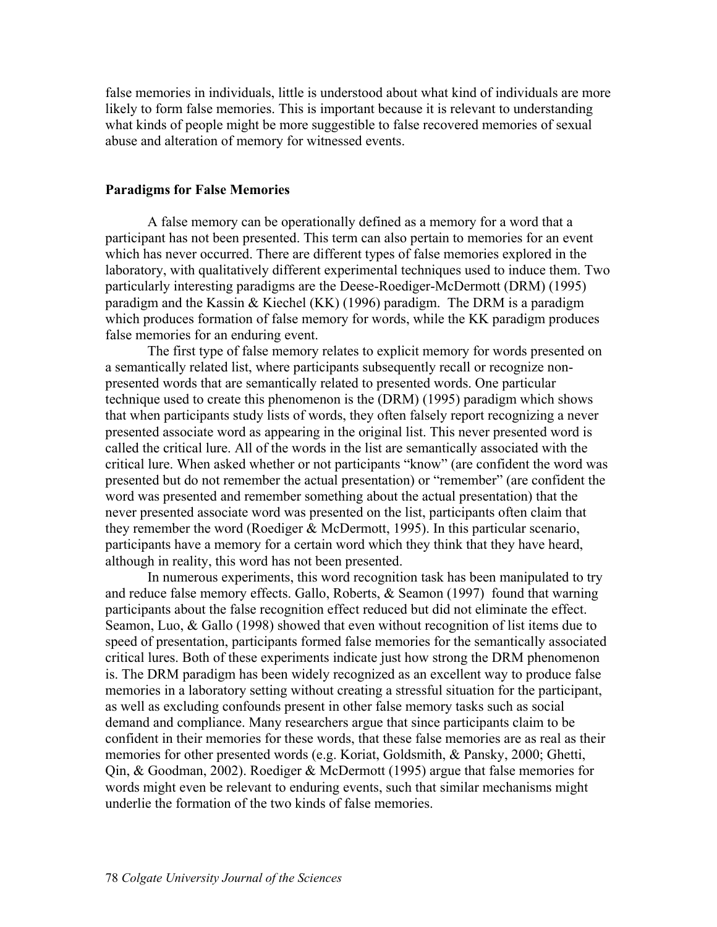false memories in individuals, little is understood about what kind of individuals are more likely to form false memories. This is important because it is relevant to understanding what kinds of people might be more suggestible to false recovered memories of sexual abuse and alteration of memory for witnessed events.

#### **Paradigms for False Memories**

 A false memory can be operationally defined as a memory for a word that a participant has not been presented. This term can also pertain to memories for an event which has never occurred. There are different types of false memories explored in the laboratory, with qualitatively different experimental techniques used to induce them. Two particularly interesting paradigms are the Deese-Roediger-McDermott (DRM) (1995) paradigm and the Kassin & Kiechel (KK) (1996) paradigm. The DRM is a paradigm which produces formation of false memory for words, while the KK paradigm produces false memories for an enduring event.

The first type of false memory relates to explicit memory for words presented on a semantically related list, where participants subsequently recall or recognize nonpresented words that are semantically related to presented words. One particular technique used to create this phenomenon is the (DRM) (1995) paradigm which shows that when participants study lists of words, they often falsely report recognizing a never presented associate word as appearing in the original list. This never presented word is called the critical lure. All of the words in the list are semantically associated with the critical lure. When asked whether or not participants "know" (are confident the word was presented but do not remember the actual presentation) or "remember" (are confident the word was presented and remember something about the actual presentation) that the never presented associate word was presented on the list, participants often claim that they remember the word (Roediger & McDermott, 1995). In this particular scenario, participants have a memory for a certain word which they think that they have heard, although in reality, this word has not been presented.

In numerous experiments, this word recognition task has been manipulated to try and reduce false memory effects. Gallo, Roberts, & Seamon (1997) found that warning participants about the false recognition effect reduced but did not eliminate the effect. Seamon, Luo, & Gallo (1998) showed that even without recognition of list items due to speed of presentation, participants formed false memories for the semantically associated critical lures. Both of these experiments indicate just how strong the DRM phenomenon is. The DRM paradigm has been widely recognized as an excellent way to produce false memories in a laboratory setting without creating a stressful situation for the participant, as well as excluding confounds present in other false memory tasks such as social demand and compliance. Many researchers argue that since participants claim to be confident in their memories for these words, that these false memories are as real as their memories for other presented words (e.g. Koriat, Goldsmith, & Pansky, 2000; Ghetti, Qin, & Goodman, 2002). Roediger & McDermott (1995) argue that false memories for words might even be relevant to enduring events, such that similar mechanisms might underlie the formation of the two kinds of false memories.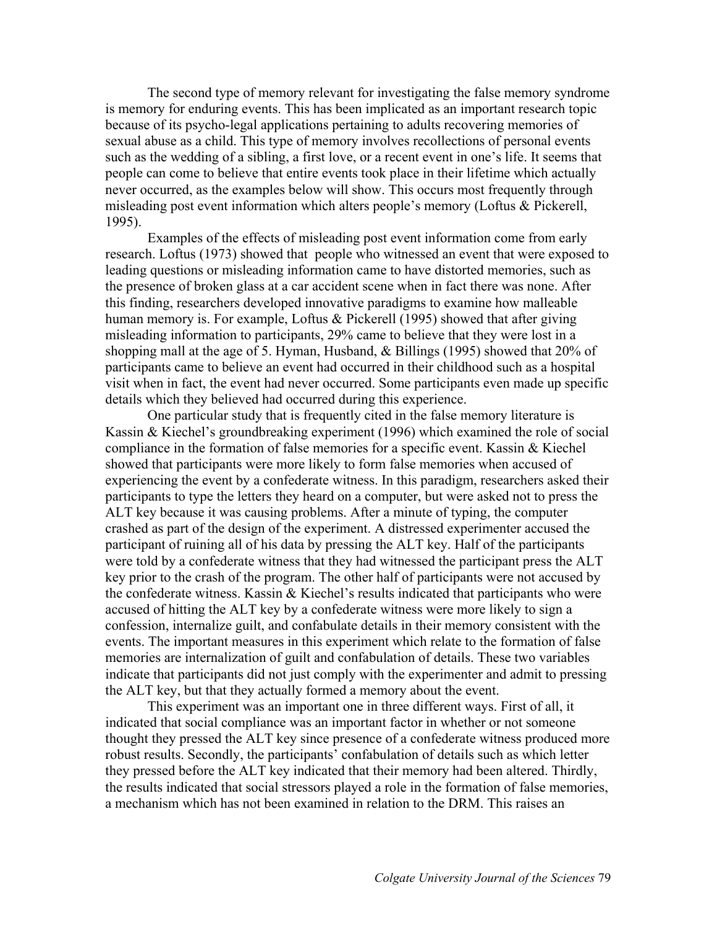The second type of memory relevant for investigating the false memory syndrome is memory for enduring events. This has been implicated as an important research topic because of its psycho-legal applications pertaining to adults recovering memories of sexual abuse as a child. This type of memory involves recollections of personal events such as the wedding of a sibling, a first love, or a recent event in one's life. It seems that people can come to believe that entire events took place in their lifetime which actually never occurred, as the examples below will show. This occurs most frequently through misleading post event information which alters people's memory (Loftus & Pickerell, 1995).

 Examples of the effects of misleading post event information come from early research. Loftus (1973) showed that people who witnessed an event that were exposed to leading questions or misleading information came to have distorted memories, such as the presence of broken glass at a car accident scene when in fact there was none. After this finding, researchers developed innovative paradigms to examine how malleable human memory is. For example, Loftus & Pickerell (1995) showed that after giving misleading information to participants, 29% came to believe that they were lost in a shopping mall at the age of 5. Hyman, Husband, & Billings (1995) showed that 20% of participants came to believe an event had occurred in their childhood such as a hospital visit when in fact, the event had never occurred. Some participants even made up specific details which they believed had occurred during this experience.

One particular study that is frequently cited in the false memory literature is Kassin & Kiechel's groundbreaking experiment (1996) which examined the role of social compliance in the formation of false memories for a specific event. Kassin & Kiechel showed that participants were more likely to form false memories when accused of experiencing the event by a confederate witness. In this paradigm, researchers asked their participants to type the letters they heard on a computer, but were asked not to press the ALT key because it was causing problems. After a minute of typing, the computer crashed as part of the design of the experiment. A distressed experimenter accused the participant of ruining all of his data by pressing the ALT key. Half of the participants were told by a confederate witness that they had witnessed the participant press the ALT key prior to the crash of the program. The other half of participants were not accused by the confederate witness. Kassin & Kiechel's results indicated that participants who were accused of hitting the ALT key by a confederate witness were more likely to sign a confession, internalize guilt, and confabulate details in their memory consistent with the events. The important measures in this experiment which relate to the formation of false memories are internalization of guilt and confabulation of details. These two variables indicate that participants did not just comply with the experimenter and admit to pressing the ALT key, but that they actually formed a memory about the event.

This experiment was an important one in three different ways. First of all, it indicated that social compliance was an important factor in whether or not someone thought they pressed the ALT key since presence of a confederate witness produced more robust results. Secondly, the participants' confabulation of details such as which letter they pressed before the ALT key indicated that their memory had been altered. Thirdly, the results indicated that social stressors played a role in the formation of false memories, a mechanism which has not been examined in relation to the DRM. This raises an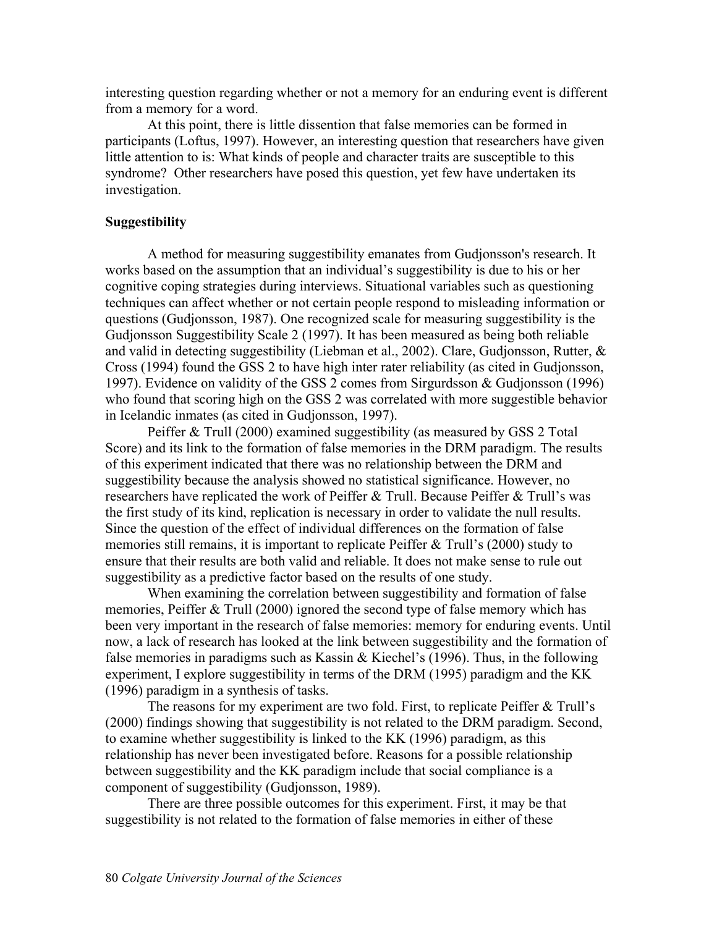interesting question regarding whether or not a memory for an enduring event is different from a memory for a word.

At this point, there is little dissention that false memories can be formed in participants (Loftus, 1997). However, an interesting question that researchers have given little attention to is: What kinds of people and character traits are susceptible to this syndrome? Other researchers have posed this question, yet few have undertaken its investigation.

#### **Suggestibility**

A method for measuring suggestibility emanates from Gudjonsson's research. It works based on the assumption that an individual's suggestibility is due to his or her cognitive coping strategies during interviews. Situational variables such as questioning techniques can affect whether or not certain people respond to misleading information or questions (Gudjonsson, 1987). One recognized scale for measuring suggestibility is the Gudjonsson Suggestibility Scale 2 (1997). It has been measured as being both reliable and valid in detecting suggestibility (Liebman et al., 2002). Clare, Gudjonsson, Rutter, & Cross (1994) found the GSS 2 to have high inter rater reliability (as cited in Gudjonsson, 1997). Evidence on validity of the GSS 2 comes from Sirgurdsson & Gudjonsson (1996) who found that scoring high on the GSS 2 was correlated with more suggestible behavior in Icelandic inmates (as cited in Gudjonsson, 1997).

Peiffer & Trull (2000) examined suggestibility (as measured by GSS 2 Total Score) and its link to the formation of false memories in the DRM paradigm. The results of this experiment indicated that there was no relationship between the DRM and suggestibility because the analysis showed no statistical significance. However, no researchers have replicated the work of Peiffer & Trull. Because Peiffer & Trull's was the first study of its kind, replication is necessary in order to validate the null results. Since the question of the effect of individual differences on the formation of false memories still remains, it is important to replicate Peiffer & Trull's (2000) study to ensure that their results are both valid and reliable. It does not make sense to rule out suggestibility as a predictive factor based on the results of one study.

When examining the correlation between suggestibility and formation of false memories, Peiffer & Trull (2000) ignored the second type of false memory which has been very important in the research of false memories: memory for enduring events. Until now, a lack of research has looked at the link between suggestibility and the formation of false memories in paradigms such as Kassin  $&$  Kiechel's (1996). Thus, in the following experiment, I explore suggestibility in terms of the DRM (1995) paradigm and the KK (1996) paradigm in a synthesis of tasks.

The reasons for my experiment are two fold. First, to replicate Peiffer & Trull's (2000) findings showing that suggestibility is not related to the DRM paradigm. Second, to examine whether suggestibility is linked to the KK (1996) paradigm, as this relationship has never been investigated before. Reasons for a possible relationship between suggestibility and the KK paradigm include that social compliance is a component of suggestibility (Gudjonsson, 1989).

There are three possible outcomes for this experiment. First, it may be that suggestibility is not related to the formation of false memories in either of these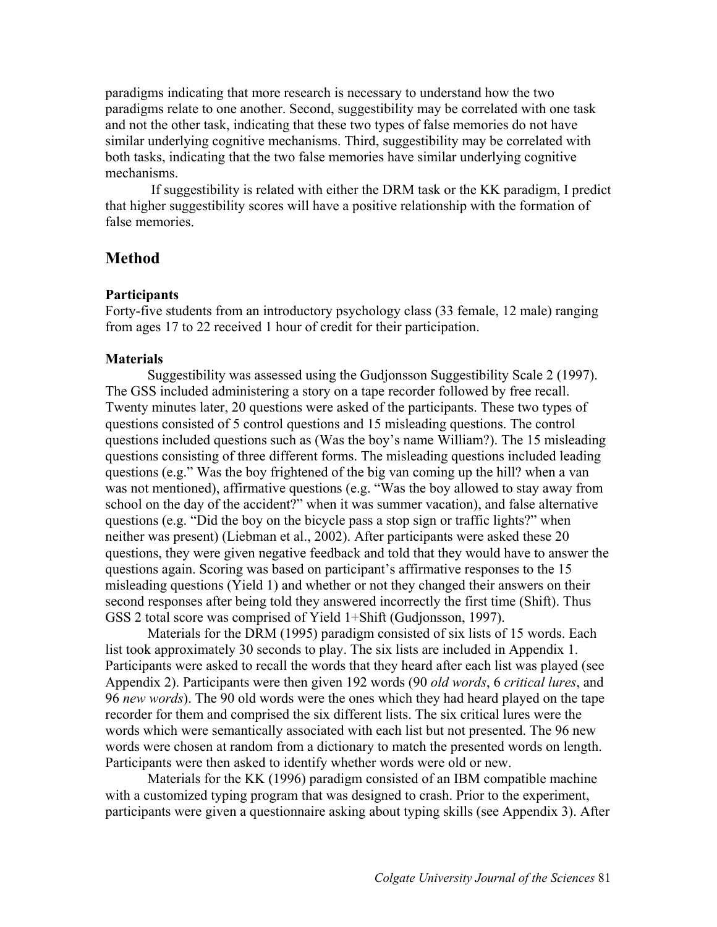paradigms indicating that more research is necessary to understand how the two paradigms relate to one another. Second, suggestibility may be correlated with one task and not the other task, indicating that these two types of false memories do not have similar underlying cognitive mechanisms. Third, suggestibility may be correlated with both tasks, indicating that the two false memories have similar underlying cognitive mechanisms.

 If suggestibility is related with either the DRM task or the KK paradigm, I predict that higher suggestibility scores will have a positive relationship with the formation of false memories.

### **Method**

#### **Participants**

Forty-five students from an introductory psychology class (33 female, 12 male) ranging from ages 17 to 22 received 1 hour of credit for their participation.

#### **Materials**

 Suggestibility was assessed using the Gudjonsson Suggestibility Scale 2 (1997). The GSS included administering a story on a tape recorder followed by free recall. Twenty minutes later, 20 questions were asked of the participants. These two types of questions consisted of 5 control questions and 15 misleading questions. The control questions included questions such as (Was the boy's name William?). The 15 misleading questions consisting of three different forms. The misleading questions included leading questions (e.g." Was the boy frightened of the big van coming up the hill? when a van was not mentioned), affirmative questions (e.g. "Was the boy allowed to stay away from school on the day of the accident?" when it was summer vacation), and false alternative questions (e.g. "Did the boy on the bicycle pass a stop sign or traffic lights?" when neither was present) (Liebman et al., 2002). After participants were asked these 20 questions, they were given negative feedback and told that they would have to answer the questions again. Scoring was based on participant's affirmative responses to the 15 misleading questions (Yield 1) and whether or not they changed their answers on their second responses after being told they answered incorrectly the first time (Shift). Thus GSS 2 total score was comprised of Yield 1+Shift (Gudjonsson, 1997).

 Materials for the DRM (1995) paradigm consisted of six lists of 15 words. Each list took approximately 30 seconds to play. The six lists are included in Appendix 1. Participants were asked to recall the words that they heard after each list was played (see Appendix 2). Participants were then given 192 words (90 *old words*, 6 *critical lures*, and 96 *new words*). The 90 old words were the ones which they had heard played on the tape recorder for them and comprised the six different lists. The six critical lures were the words which were semantically associated with each list but not presented. The 96 new words were chosen at random from a dictionary to match the presented words on length. Participants were then asked to identify whether words were old or new.

 Materials for the KK (1996) paradigm consisted of an IBM compatible machine with a customized typing program that was designed to crash. Prior to the experiment, participants were given a questionnaire asking about typing skills (see Appendix 3). After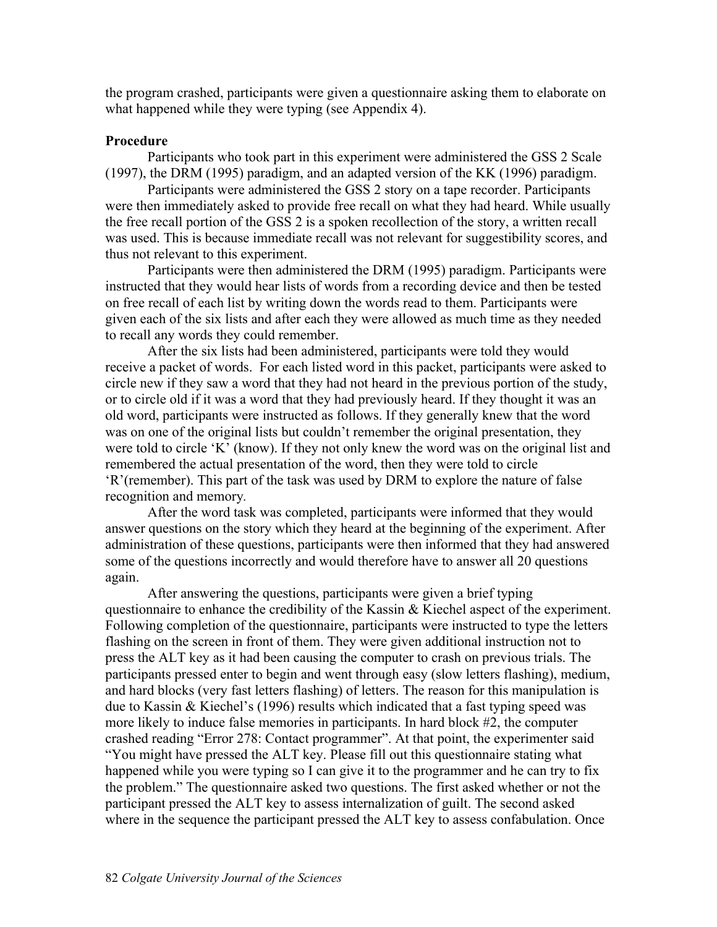the program crashed, participants were given a questionnaire asking them to elaborate on what happened while they were typing (see Appendix 4).

#### **Procedure**

Participants who took part in this experiment were administered the GSS 2 Scale (1997), the DRM (1995) paradigm, and an adapted version of the KK (1996) paradigm.

Participants were administered the GSS 2 story on a tape recorder. Participants were then immediately asked to provide free recall on what they had heard. While usually the free recall portion of the GSS 2 is a spoken recollection of the story, a written recall was used. This is because immediate recall was not relevant for suggestibility scores, and thus not relevant to this experiment.

Participants were then administered the DRM (1995) paradigm. Participants were instructed that they would hear lists of words from a recording device and then be tested on free recall of each list by writing down the words read to them. Participants were given each of the six lists and after each they were allowed as much time as they needed to recall any words they could remember.

After the six lists had been administered, participants were told they would receive a packet of words. For each listed word in this packet, participants were asked to circle new if they saw a word that they had not heard in the previous portion of the study, or to circle old if it was a word that they had previously heard. If they thought it was an old word, participants were instructed as follows. If they generally knew that the word was on one of the original lists but couldn't remember the original presentation, they were told to circle 'K' (know). If they not only knew the word was on the original list and remembered the actual presentation of the word, then they were told to circle 'R'(remember). This part of the task was used by DRM to explore the nature of false recognition and memory*.* 

 After the word task was completed, participants were informed that they would answer questions on the story which they heard at the beginning of the experiment. After administration of these questions, participants were then informed that they had answered some of the questions incorrectly and would therefore have to answer all 20 questions again.

After answering the questions, participants were given a brief typing questionnaire to enhance the credibility of the Kassin & Kiechel aspect of the experiment. Following completion of the questionnaire, participants were instructed to type the letters flashing on the screen in front of them. They were given additional instruction not to press the ALT key as it had been causing the computer to crash on previous trials. The participants pressed enter to begin and went through easy (slow letters flashing), medium, and hard blocks (very fast letters flashing) of letters. The reason for this manipulation is due to Kassin & Kiechel's (1996) results which indicated that a fast typing speed was more likely to induce false memories in participants. In hard block #2, the computer crashed reading "Error 278: Contact programmer". At that point, the experimenter said "You might have pressed the ALT key. Please fill out this questionnaire stating what happened while you were typing so I can give it to the programmer and he can try to fix the problem." The questionnaire asked two questions. The first asked whether or not the participant pressed the ALT key to assess internalization of guilt. The second asked where in the sequence the participant pressed the ALT key to assess confabulation. Once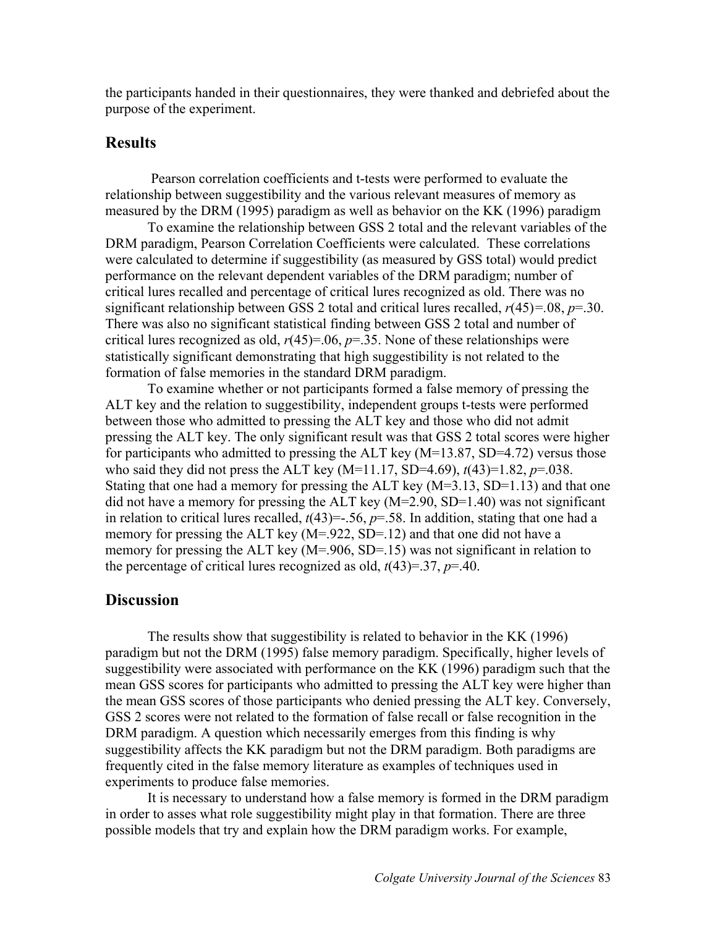the participants handed in their questionnaires, they were thanked and debriefed about the purpose of the experiment.

# **Results**

 Pearson correlation coefficients and t-tests were performed to evaluate the relationship between suggestibility and the various relevant measures of memory as measured by the DRM (1995) paradigm as well as behavior on the KK (1996) paradigm

To examine the relationship between GSS 2 total and the relevant variables of the DRM paradigm, Pearson Correlation Coefficients were calculated. These correlations were calculated to determine if suggestibility (as measured by GSS total) would predict performance on the relevant dependent variables of the DRM paradigm; number of critical lures recalled and percentage of critical lures recognized as old. There was no significant relationship between GSS 2 total and critical lures recalled, *r*(45)*=.*08, *p*=.30. There was also no significant statistical finding between GSS 2 total and number of critical lures recognized as old,  $r(45)=0.06$ ,  $p=.35$ . None of these relationships were statistically significant demonstrating that high suggestibility is not related to the formation of false memories in the standard DRM paradigm.

 To examine whether or not participants formed a false memory of pressing the ALT key and the relation to suggestibility, independent groups t-tests were performed between those who admitted to pressing the ALT key and those who did not admit pressing the ALT key. The only significant result was that GSS 2 total scores were higher for participants who admitted to pressing the ALT key  $(M=13.87, SD=4.72)$  versus those who said they did not press the ALT key (M=11.17, SD=4.69), *t*(43)=1.82, *p*=.038. Stating that one had a memory for pressing the ALT key  $(M=3.13, SD=1.13)$  and that one did not have a memory for pressing the ALT key (M=2.90, SD=1.40) was not significant in relation to critical lures recalled,  $t(43) = -0.56$ ,  $p = 0.58$ . In addition, stating that one had a memory for pressing the ALT key (M=.922, SD=.12) and that one did not have a memory for pressing the ALT key (M=.906, SD=.15) was not significant in relation to the percentage of critical lures recognized as old,  $t(43)=37$ ,  $p=.40$ .

# **Discussion**

 The results show that suggestibility is related to behavior in the KK (1996) paradigm but not the DRM (1995) false memory paradigm. Specifically, higher levels of suggestibility were associated with performance on the KK (1996) paradigm such that the mean GSS scores for participants who admitted to pressing the ALT key were higher than the mean GSS scores of those participants who denied pressing the ALT key. Conversely, GSS 2 scores were not related to the formation of false recall or false recognition in the DRM paradigm. A question which necessarily emerges from this finding is why suggestibility affects the KK paradigm but not the DRM paradigm. Both paradigms are frequently cited in the false memory literature as examples of techniques used in experiments to produce false memories.

 It is necessary to understand how a false memory is formed in the DRM paradigm in order to asses what role suggestibility might play in that formation. There are three possible models that try and explain how the DRM paradigm works. For example,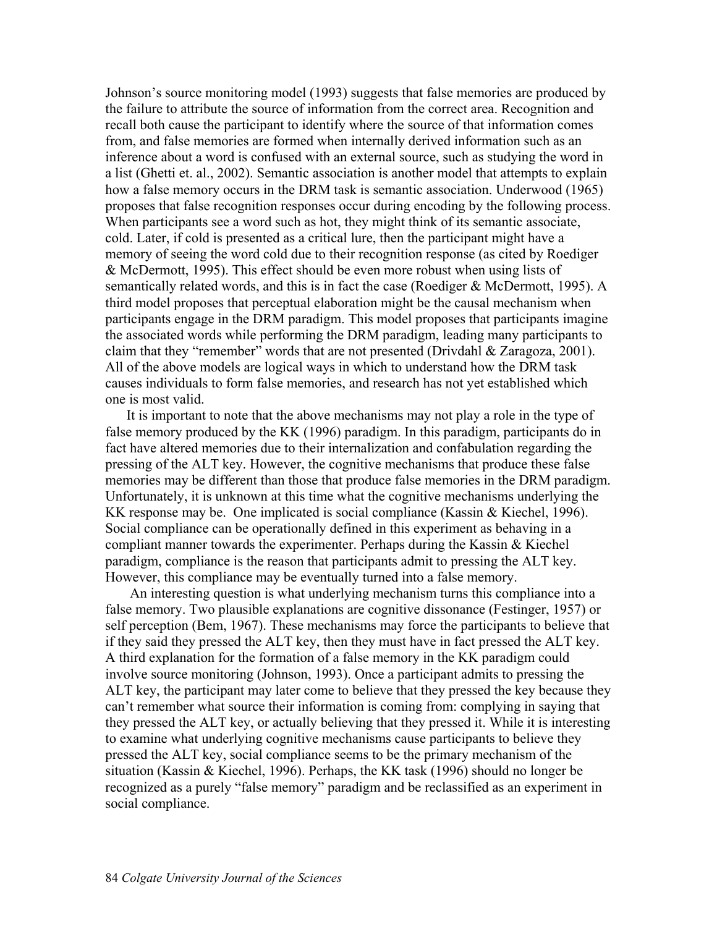Johnson's source monitoring model (1993) suggests that false memories are produced by the failure to attribute the source of information from the correct area. Recognition and recall both cause the participant to identify where the source of that information comes from, and false memories are formed when internally derived information such as an inference about a word is confused with an external source, such as studying the word in a list (Ghetti et. al., 2002). Semantic association is another model that attempts to explain how a false memory occurs in the DRM task is semantic association. Underwood (1965) proposes that false recognition responses occur during encoding by the following process. When participants see a word such as hot, they might think of its semantic associate, cold. Later, if cold is presented as a critical lure, then the participant might have a memory of seeing the word cold due to their recognition response (as cited by Roediger & McDermott, 1995). This effect should be even more robust when using lists of semantically related words, and this is in fact the case (Roediger  $\&$  McDermott, 1995). A third model proposes that perceptual elaboration might be the causal mechanism when participants engage in the DRM paradigm. This model proposes that participants imagine the associated words while performing the DRM paradigm, leading many participants to claim that they "remember" words that are not presented (Drivdahl & Zaragoza, 2001). All of the above models are logical ways in which to understand how the DRM task causes individuals to form false memories, and research has not yet established which one is most valid.

It is important to note that the above mechanisms may not play a role in the type of false memory produced by the KK (1996) paradigm. In this paradigm, participants do in fact have altered memories due to their internalization and confabulation regarding the pressing of the ALT key. However, the cognitive mechanisms that produce these false memories may be different than those that produce false memories in the DRM paradigm. Unfortunately, it is unknown at this time what the cognitive mechanisms underlying the KK response may be. One implicated is social compliance (Kassin & Kiechel, 1996). Social compliance can be operationally defined in this experiment as behaving in a compliant manner towards the experimenter. Perhaps during the Kassin & Kiechel paradigm, compliance is the reason that participants admit to pressing the ALT key. However, this compliance may be eventually turned into a false memory.

 An interesting question is what underlying mechanism turns this compliance into a false memory. Two plausible explanations are cognitive dissonance (Festinger, 1957) or self perception (Bem, 1967). These mechanisms may force the participants to believe that if they said they pressed the ALT key, then they must have in fact pressed the ALT key. A third explanation for the formation of a false memory in the KK paradigm could involve source monitoring (Johnson, 1993). Once a participant admits to pressing the ALT key, the participant may later come to believe that they pressed the key because they can't remember what source their information is coming from: complying in saying that they pressed the ALT key, or actually believing that they pressed it. While it is interesting to examine what underlying cognitive mechanisms cause participants to believe they pressed the ALT key, social compliance seems to be the primary mechanism of the situation (Kassin & Kiechel, 1996). Perhaps, the KK task (1996) should no longer be recognized as a purely "false memory" paradigm and be reclassified as an experiment in social compliance.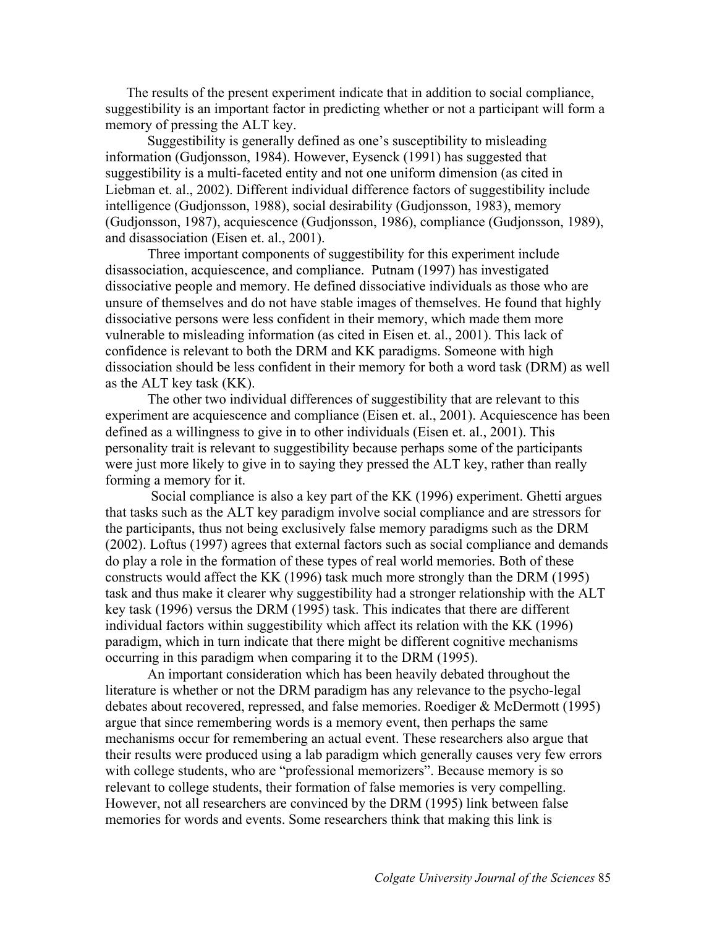The results of the present experiment indicate that in addition to social compliance, suggestibility is an important factor in predicting whether or not a participant will form a memory of pressing the ALT key.

 Suggestibility is generally defined as one's susceptibility to misleading information (Gudjonsson, 1984). However, Eysenck (1991) has suggested that suggestibility is a multi-faceted entity and not one uniform dimension (as cited in Liebman et. al., 2002). Different individual difference factors of suggestibility include intelligence (Gudjonsson, 1988), social desirability (Gudjonsson, 1983), memory (Gudjonsson, 1987), acquiescence (Gudjonsson, 1986), compliance (Gudjonsson, 1989), and disassociation (Eisen et. al., 2001).

Three important components of suggestibility for this experiment include disassociation, acquiescence, and compliance. Putnam (1997) has investigated dissociative people and memory. He defined dissociative individuals as those who are unsure of themselves and do not have stable images of themselves. He found that highly dissociative persons were less confident in their memory, which made them more vulnerable to misleading information (as cited in Eisen et. al., 2001). This lack of confidence is relevant to both the DRM and KK paradigms. Someone with high dissociation should be less confident in their memory for both a word task (DRM) as well as the ALT key task (KK).

The other two individual differences of suggestibility that are relevant to this experiment are acquiescence and compliance (Eisen et. al., 2001). Acquiescence has been defined as a willingness to give in to other individuals (Eisen et. al., 2001). This personality trait is relevant to suggestibility because perhaps some of the participants were just more likely to give in to saying they pressed the ALT key, rather than really forming a memory for it.

 Social compliance is also a key part of the KK (1996) experiment. Ghetti argues that tasks such as the ALT key paradigm involve social compliance and are stressors for the participants, thus not being exclusively false memory paradigms such as the DRM (2002). Loftus (1997) agrees that external factors such as social compliance and demands do play a role in the formation of these types of real world memories. Both of these constructs would affect the KK (1996) task much more strongly than the DRM (1995) task and thus make it clearer why suggestibility had a stronger relationship with the ALT key task (1996) versus the DRM (1995) task. This indicates that there are different individual factors within suggestibility which affect its relation with the KK (1996) paradigm, which in turn indicate that there might be different cognitive mechanisms occurring in this paradigm when comparing it to the DRM (1995).

An important consideration which has been heavily debated throughout the literature is whether or not the DRM paradigm has any relevance to the psycho-legal debates about recovered, repressed, and false memories. Roediger & McDermott (1995) argue that since remembering words is a memory event, then perhaps the same mechanisms occur for remembering an actual event. These researchers also argue that their results were produced using a lab paradigm which generally causes very few errors with college students, who are "professional memorizers". Because memory is so relevant to college students, their formation of false memories is very compelling. However, not all researchers are convinced by the DRM (1995) link between false memories for words and events. Some researchers think that making this link is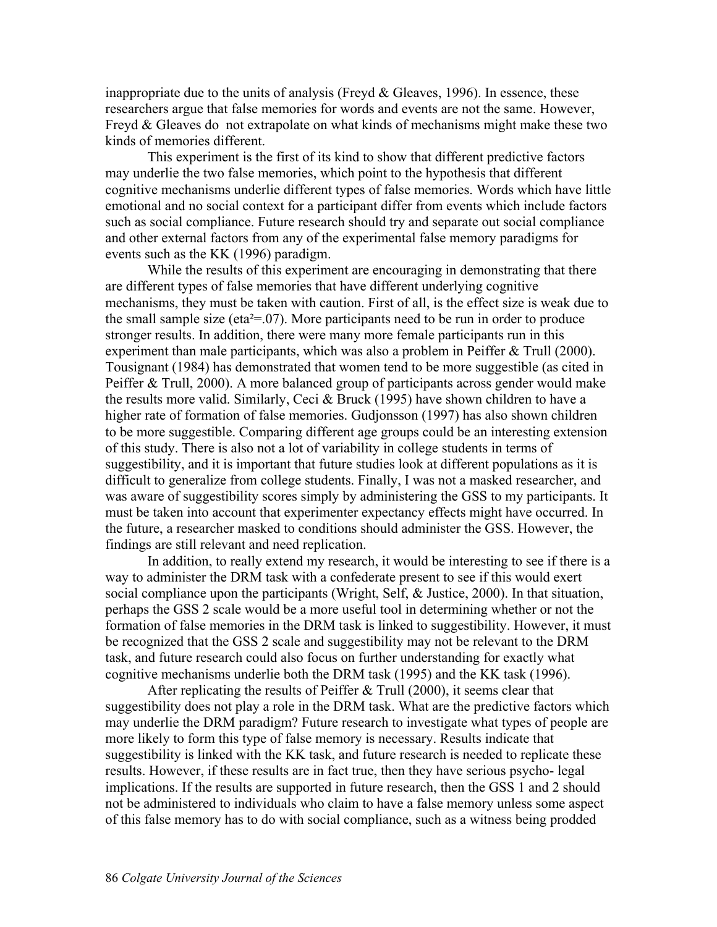inappropriate due to the units of analysis (Freyd  $\&$  Gleaves, 1996). In essence, these researchers argue that false memories for words and events are not the same. However, Freyd & Gleaves do not extrapolate on what kinds of mechanisms might make these two kinds of memories different.

This experiment is the first of its kind to show that different predictive factors may underlie the two false memories, which point to the hypothesis that different cognitive mechanisms underlie different types of false memories. Words which have little emotional and no social context for a participant differ from events which include factors such as social compliance. Future research should try and separate out social compliance and other external factors from any of the experimental false memory paradigms for events such as the KK (1996) paradigm.

While the results of this experiment are encouraging in demonstrating that there are different types of false memories that have different underlying cognitive mechanisms, they must be taken with caution. First of all, is the effect size is weak due to the small sample size (eta $2=07$ ). More participants need to be run in order to produce stronger results. In addition, there were many more female participants run in this experiment than male participants, which was also a problem in Peiffer & Trull (2000). Tousignant (1984) has demonstrated that women tend to be more suggestible (as cited in Peiffer & Trull, 2000). A more balanced group of participants across gender would make the results more valid. Similarly, Ceci & Bruck (1995) have shown children to have a higher rate of formation of false memories. Gudjonsson (1997) has also shown children to be more suggestible. Comparing different age groups could be an interesting extension of this study. There is also not a lot of variability in college students in terms of suggestibility, and it is important that future studies look at different populations as it is difficult to generalize from college students. Finally, I was not a masked researcher, and was aware of suggestibility scores simply by administering the GSS to my participants. It must be taken into account that experimenter expectancy effects might have occurred. In the future, a researcher masked to conditions should administer the GSS. However, the findings are still relevant and need replication.

In addition, to really extend my research, it would be interesting to see if there is a way to administer the DRM task with a confederate present to see if this would exert social compliance upon the participants (Wright, Self, & Justice, 2000). In that situation, perhaps the GSS 2 scale would be a more useful tool in determining whether or not the formation of false memories in the DRM task is linked to suggestibility. However, it must be recognized that the GSS 2 scale and suggestibility may not be relevant to the DRM task, and future research could also focus on further understanding for exactly what cognitive mechanisms underlie both the DRM task (1995) and the KK task (1996).

After replicating the results of Peiffer  $& Trull (2000)$ , it seems clear that suggestibility does not play a role in the DRM task. What are the predictive factors which may underlie the DRM paradigm? Future research to investigate what types of people are more likely to form this type of false memory is necessary. Results indicate that suggestibility is linked with the KK task, and future research is needed to replicate these results. However, if these results are in fact true, then they have serious psycho- legal implications. If the results are supported in future research, then the GSS 1 and 2 should not be administered to individuals who claim to have a false memory unless some aspect of this false memory has to do with social compliance, such as a witness being prodded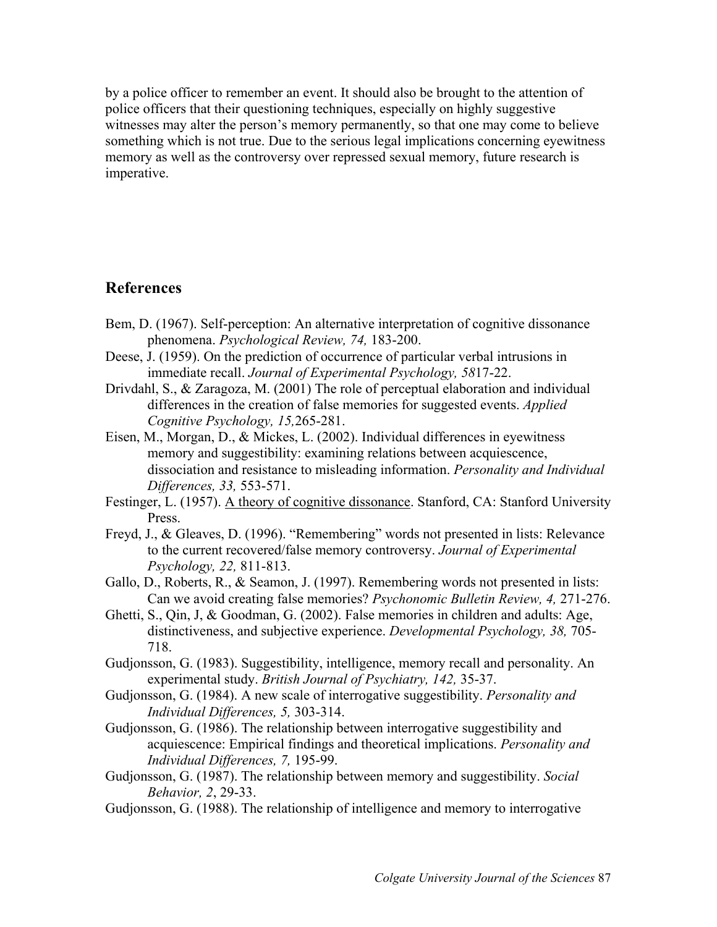by a police officer to remember an event. It should also be brought to the attention of police officers that their questioning techniques, especially on highly suggestive witnesses may alter the person's memory permanently, so that one may come to believe something which is not true. Due to the serious legal implications concerning eyewitness memory as well as the controversy over repressed sexual memory, future research is imperative.

# **References**

- Bem, D. (1967). Self-perception: An alternative interpretation of cognitive dissonance phenomena. *Psychological Review, 74,* 183-200.
- Deese, J. (1959). On the prediction of occurrence of particular verbal intrusions in immediate recall. *Journal of Experimental Psychology, 58*17-22.
- Drivdahl, S., & Zaragoza, M. (2001) The role of perceptual elaboration and individual differences in the creation of false memories for suggested events. *Applied Cognitive Psychology, 15,*265-281.
- Eisen, M., Morgan, D., & Mickes, L. (2002). Individual differences in eyewitness memory and suggestibility: examining relations between acquiescence, dissociation and resistance to misleading information. *Personality and Individual Differences, 33,* 553-571.
- Festinger, L. (1957). A theory of cognitive dissonance. Stanford, CA: Stanford University Press.
- Freyd, J., & Gleaves, D. (1996). "Remembering" words not presented in lists: Relevance to the current recovered/false memory controversy. *Journal of Experimental Psychology, 22,* 811-813.
- Gallo, D., Roberts, R., & Seamon, J. (1997). Remembering words not presented in lists: Can we avoid creating false memories? *Psychonomic Bulletin Review, 4,* 271-276.
- Ghetti, S., Qin, J, & Goodman, G. (2002). False memories in children and adults: Age, distinctiveness, and subjective experience. *Developmental Psychology, 38,* 705- 718.
- Gudjonsson, G. (1983). Suggestibility, intelligence, memory recall and personality. An experimental study. *British Journal of Psychiatry, 142,* 35-37.
- Gudjonsson, G. (1984). A new scale of interrogative suggestibility. *Personality and Individual Differences, 5,* 303-314.
- Gudjonsson, G. (1986). The relationship between interrogative suggestibility and acquiescence: Empirical findings and theoretical implications. *Personality and Individual Differences, 7,* 195-99.
- Gudjonsson, G. (1987). The relationship between memory and suggestibility. *Social Behavior, 2*, 29-33.
- Gudjonsson, G. (1988). The relationship of intelligence and memory to interrogative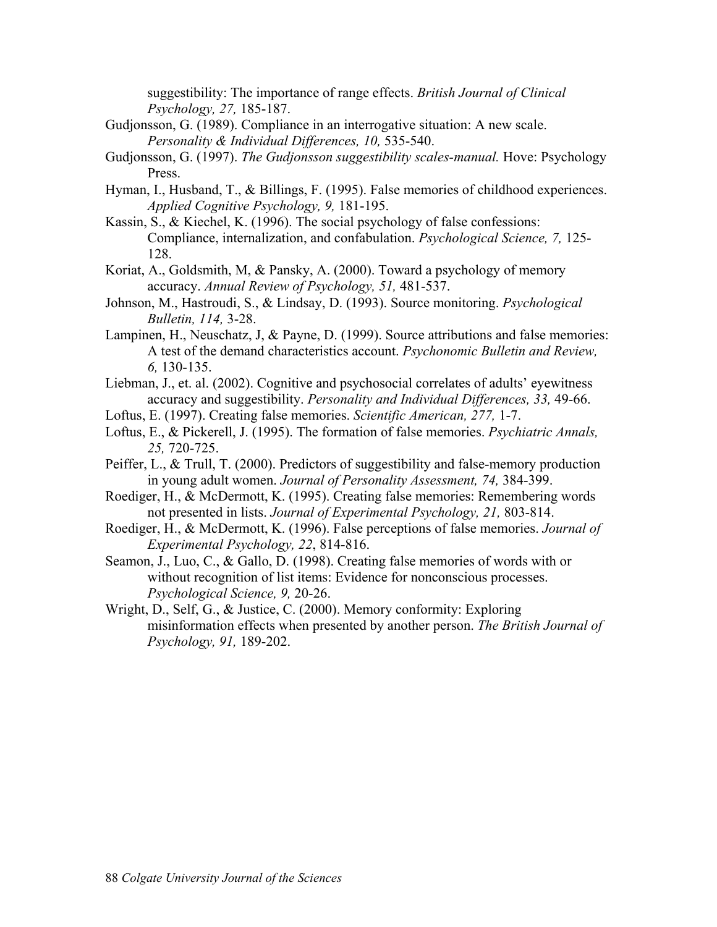suggestibility: The importance of range effects. *British Journal of Clinical Psychology, 27,* 185-187.

- Gudjonsson, G. (1989). Compliance in an interrogative situation: A new scale. *Personality & Individual Differences, 10,* 535-540.
- Gudjonsson, G. (1997). *The Gudjonsson suggestibility scales-manual.* Hove: Psychology Press.
- Hyman, I., Husband, T., & Billings, F. (1995). False memories of childhood experiences. *Applied Cognitive Psychology, 9,* 181-195.
- Kassin, S., & Kiechel, K. (1996). The social psychology of false confessions: Compliance, internalization, and confabulation. *Psychological Science, 7,* 125- 128.
- Koriat, A., Goldsmith, M, & Pansky, A. (2000). Toward a psychology of memory accuracy. *Annual Review of Psychology, 51,* 481-537.
- Johnson, M., Hastroudi, S., & Lindsay, D. (1993). Source monitoring. *Psychological Bulletin, 114,* 3-28.
- Lampinen, H., Neuschatz, J, & Payne, D. (1999). Source attributions and false memories: A test of the demand characteristics account. *Psychonomic Bulletin and Review, 6,* 130-135.
- Liebman, J., et. al. (2002). Cognitive and psychosocial correlates of adults' eyewitness accuracy and suggestibility. *Personality and Individual Differences, 33,* 49-66.
- Loftus, E. (1997). Creating false memories. *Scientific American, 277,* 1-7.
- Loftus, E., & Pickerell, J. (1995). The formation of false memories. *Psychiatric Annals, 25,* 720-725.
- Peiffer, L., & Trull, T. (2000). Predictors of suggestibility and false-memory production in young adult women. *Journal of Personality Assessment, 74,* 384-399.
- Roediger, H., & McDermott, K. (1995). Creating false memories: Remembering words not presented in lists. *Journal of Experimental Psychology, 21,* 803-814.
- Roediger, H., & McDermott, K. (1996). False perceptions of false memories. *Journal of Experimental Psychology, 22*, 814-816.
- Seamon, J., Luo, C., & Gallo, D. (1998). Creating false memories of words with or without recognition of list items: Evidence for nonconscious processes. *Psychological Science, 9,* 20-26.
- Wright, D., Self, G., & Justice, C. (2000). Memory conformity: Exploring misinformation effects when presented by another person. *The British Journal of Psychology, 91,* 189-202.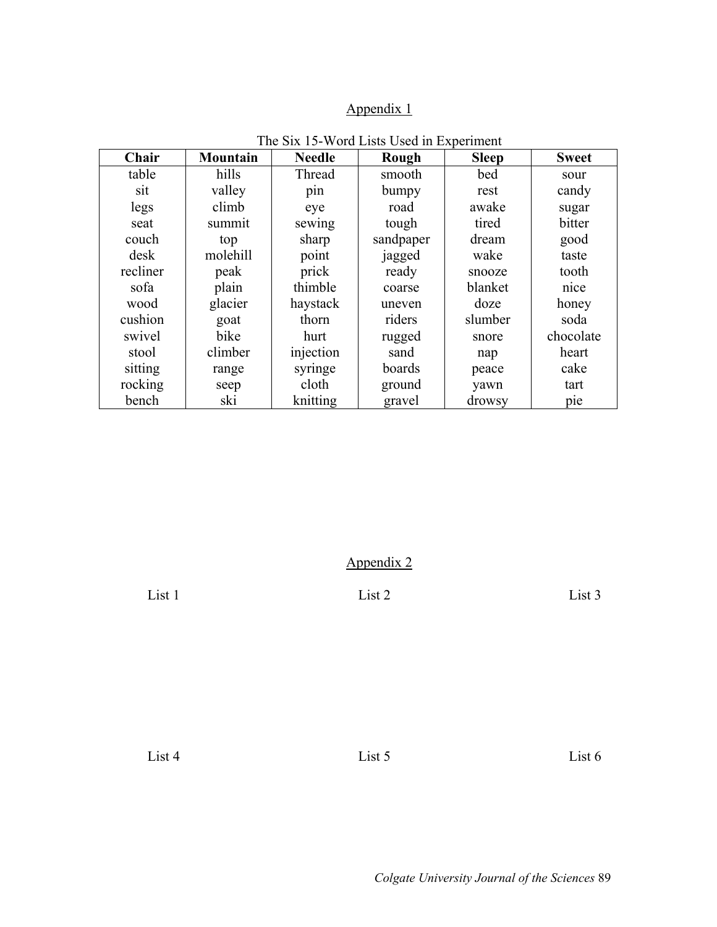# Appendix 1

| Chair    | <b>Mountain</b> | <b>Needle</b> | Rough     | <b>Sleep</b> | <b>Sweet</b> |
|----------|-----------------|---------------|-----------|--------------|--------------|
| table    | hills           | Thread        | smooth    | bed          | sour         |
| sit      | valley          | pin           | bumpy     | rest         | candy        |
| legs     | climb           | eye           | road      | awake        | sugar        |
| seat     | summit          | sewing        | tough     | tired        | bitter       |
| couch    | top             | sharp         | sandpaper | dream        | good         |
| desk     | molehill        | point         | jagged    | wake         | taste        |
| recliner | peak            | prick         | ready     | snooze       | tooth        |
| sofa     | plain           | thimble       | coarse    | blanket      | nice         |
| wood     | glacier         | haystack      | uneven    | doze         | honey        |
| cushion  | goat            | thorn         | riders    | slumber      | soda         |
| swivel   | bike            | hurt          | rugged    | snore        | chocolate    |
| stool    | climber         | injection     | sand      | nap          | heart        |
| sitting  | range           | syringe       | boards    | peace        | cake         |
| rocking  | seep            | cloth         | ground    | yawn         | tart         |
| bench    | ski             | knitting      | gravel    | drowsy       | pie          |

The Six 15-Word Lists Used in Experiment

Appendix 2

List 1 List 2 List 3

List 4 List 5 List 6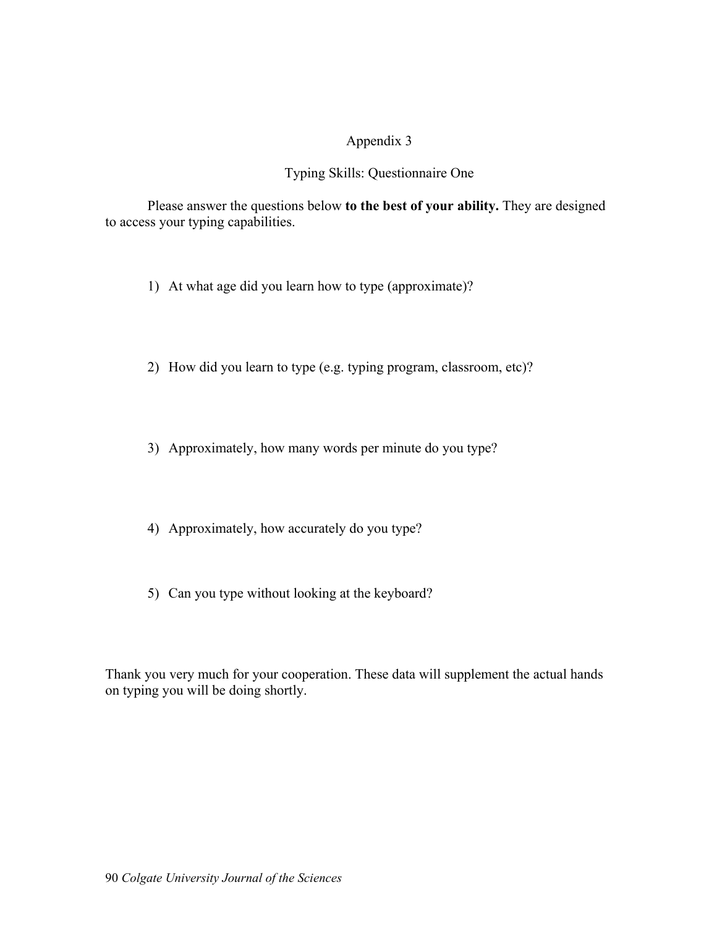# Appendix 3

# Typing Skills: Questionnaire One

Please answer the questions below **to the best of your ability.** They are designed to access your typing capabilities.

- 1) At what age did you learn how to type (approximate)?
- 2) How did you learn to type (e.g. typing program, classroom, etc)?
- 3) Approximately, how many words per minute do you type?
- 4) Approximately, how accurately do you type?
- 5) Can you type without looking at the keyboard?

Thank you very much for your cooperation. These data will supplement the actual hands on typing you will be doing shortly.